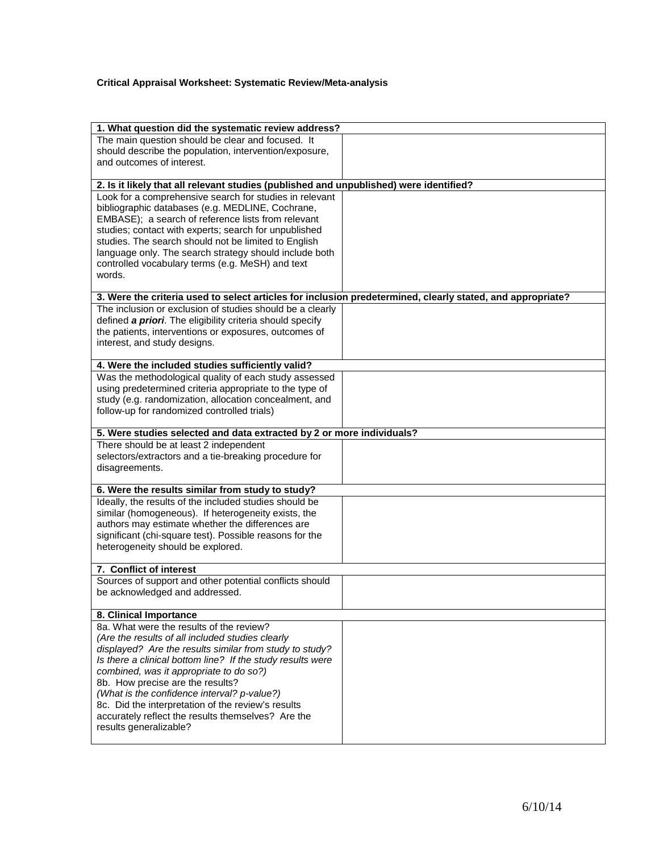## **Critical Appraisal Worksheet: Systematic Review/Meta-analysis**

| 1. What question did the systematic review address?                                                         |                                                  |  |  |  |  |  |  |
|-------------------------------------------------------------------------------------------------------------|--------------------------------------------------|--|--|--|--|--|--|
|                                                                                                             |                                                  |  |  |  |  |  |  |
| The main question should be clear and focused. It<br>should describe the population, intervention/exposure, |                                                  |  |  |  |  |  |  |
| and outcomes of interest.                                                                                   |                                                  |  |  |  |  |  |  |
|                                                                                                             |                                                  |  |  |  |  |  |  |
| 2. Is it likely that all relevant studies (published and unpublished) were identified?                      |                                                  |  |  |  |  |  |  |
| Look for a comprehensive search for studies in relevant                                                     |                                                  |  |  |  |  |  |  |
| bibliographic databases (e.g. MEDLINE, Cochrane,                                                            |                                                  |  |  |  |  |  |  |
| EMBASE); a search of reference lists from relevant                                                          |                                                  |  |  |  |  |  |  |
| studies; contact with experts; search for unpublished                                                       |                                                  |  |  |  |  |  |  |
| studies. The search should not be limited to English                                                        |                                                  |  |  |  |  |  |  |
| language only. The search strategy should include both                                                      |                                                  |  |  |  |  |  |  |
| controlled vocabulary terms (e.g. MeSH) and text                                                            |                                                  |  |  |  |  |  |  |
| words.                                                                                                      |                                                  |  |  |  |  |  |  |
|                                                                                                             |                                                  |  |  |  |  |  |  |
| 3. Were the criteria used to select articles for inclusion predetermined, clearly stated, and appropriate?  |                                                  |  |  |  |  |  |  |
| The inclusion or exclusion of studies should be a clearly                                                   |                                                  |  |  |  |  |  |  |
| defined a priori. The eligibility criteria should specify                                                   |                                                  |  |  |  |  |  |  |
| the patients, interventions or exposures, outcomes of                                                       |                                                  |  |  |  |  |  |  |
| interest, and study designs.                                                                                |                                                  |  |  |  |  |  |  |
| 4. Were the included studies sufficiently valid?                                                            |                                                  |  |  |  |  |  |  |
| Was the methodological quality of each study assessed                                                       |                                                  |  |  |  |  |  |  |
| using predetermined criteria appropriate to the type of                                                     |                                                  |  |  |  |  |  |  |
| study (e.g. randomization, allocation concealment, and                                                      |                                                  |  |  |  |  |  |  |
| follow-up for randomized controlled trials)                                                                 |                                                  |  |  |  |  |  |  |
|                                                                                                             |                                                  |  |  |  |  |  |  |
| 5. Were studies selected and data extracted by 2 or more individuals?                                       |                                                  |  |  |  |  |  |  |
| There should be at least 2 independent                                                                      |                                                  |  |  |  |  |  |  |
| selectors/extractors and a tie-breaking procedure for                                                       |                                                  |  |  |  |  |  |  |
| disagreements.                                                                                              |                                                  |  |  |  |  |  |  |
|                                                                                                             |                                                  |  |  |  |  |  |  |
| Ideally, the results of the included studies should be                                                      | 6. Were the results similar from study to study? |  |  |  |  |  |  |
| similar (homogeneous). If heterogeneity exists, the                                                         |                                                  |  |  |  |  |  |  |
| authors may estimate whether the differences are                                                            |                                                  |  |  |  |  |  |  |
| significant (chi-square test). Possible reasons for the                                                     |                                                  |  |  |  |  |  |  |
| heterogeneity should be explored.                                                                           |                                                  |  |  |  |  |  |  |
|                                                                                                             |                                                  |  |  |  |  |  |  |
| 7. Conflict of interest                                                                                     |                                                  |  |  |  |  |  |  |
| Sources of support and other potential conflicts should                                                     |                                                  |  |  |  |  |  |  |
| be acknowledged and addressed.                                                                              |                                                  |  |  |  |  |  |  |
|                                                                                                             |                                                  |  |  |  |  |  |  |
| 8. Clinical Importance<br>8a. What were the results of the review?                                          |                                                  |  |  |  |  |  |  |
| (Are the results of all included studies clearly                                                            |                                                  |  |  |  |  |  |  |
| displayed? Are the results similar from study to study?                                                     |                                                  |  |  |  |  |  |  |
| Is there a clinical bottom line? If the study results were                                                  |                                                  |  |  |  |  |  |  |
| combined, was it appropriate to do so?)                                                                     |                                                  |  |  |  |  |  |  |
| 8b. How precise are the results?                                                                            |                                                  |  |  |  |  |  |  |
| (What is the confidence interval? p-value?)                                                                 |                                                  |  |  |  |  |  |  |
| 8c. Did the interpretation of the review's results                                                          |                                                  |  |  |  |  |  |  |
| accurately reflect the results themselves? Are the                                                          |                                                  |  |  |  |  |  |  |
| results generalizable?                                                                                      |                                                  |  |  |  |  |  |  |
|                                                                                                             |                                                  |  |  |  |  |  |  |